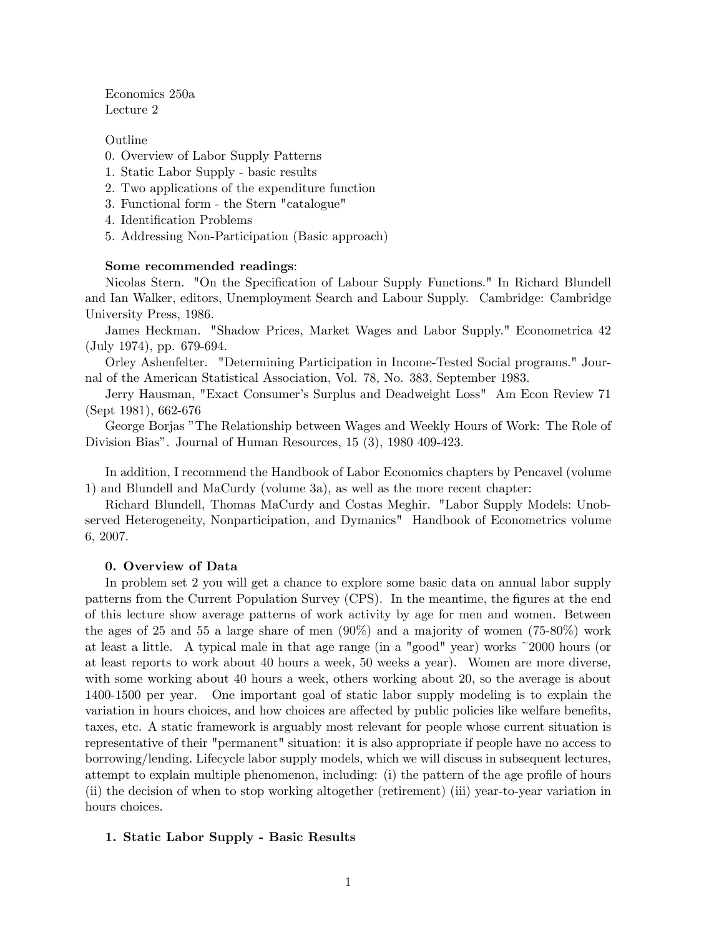Economics 250a Lecture 2

Outline

- 0. Overview of Labor Supply Patterns
- 1. Static Labor Supply basic results
- 2. Two applications of the expenditure function
- 3. Functional form the Stern "catalogue"
- 4. Identification Problems
- 5. Addressing Non-Participation (Basic approach)

#### Some recommended readings:

Nicolas Stern. "On the Specification of Labour Supply Functions." In Richard Blundell and Ian Walker, editors, Unemployment Search and Labour Supply. Cambridge: Cambridge University Press, 1986.

James Heckman. "Shadow Prices, Market Wages and Labor Supply." Econometrica 42 (July 1974), pp. 679-694.

Orley Ashenfelter. "Determining Participation in Income-Tested Social programs." Journal of the American Statistical Association, Vol. 78, No. 383, September 1983.

Jerry Hausman, "Exact Consumerís Surplus and Deadweight Loss" Am Econ Review 71 (Sept 1981), 662-676

George Borjas îThe Relationship between Wages and Weekly Hours of Work: The Role of Division Bias". Journal of Human Resources, 15 (3), 1980 409-423.

In addition, I recommend the Handbook of Labor Economics chapters by Pencavel (volume 1) and Blundell and MaCurdy (volume 3a), as well as the more recent chapter:

Richard Blundell, Thomas MaCurdy and Costas Meghir. "Labor Supply Models: Unobserved Heterogeneity, Nonparticipation, and Dymanics" Handbook of Econometrics volume 6, 2007.

#### 0. Overview of Data

In problem set 2 you will get a chance to explore some basic data on annual labor supply patterns from the Current Population Survey (CPS). In the meantime, the figures at the end of this lecture show average patterns of work activity by age for men and women. Between the ages of 25 and 55 a large share of men (90%) and a majority of women (75-80%) work at least a little. A typical male in that age range (in a "good" year) works ~2000 hours (or at least reports to work about 40 hours a week, 50 weeks a year). Women are more diverse, with some working about 40 hours a week, others working about 20, so the average is about 1400-1500 per year. One important goal of static labor supply modeling is to explain the variation in hours choices, and how choices are affected by public policies like welfare benefits, taxes, etc. A static framework is arguably most relevant for people whose current situation is representative of their "permanent" situation: it is also appropriate if people have no access to borrowing/lending. Lifecycle labor supply models, which we will discuss in subsequent lectures, attempt to explain multiple phenomenon, including: (i) the pattern of the age profile of hours (ii) the decision of when to stop working altogether (retirement) (iii) year-to-year variation in hours choices.

## 1. Static Labor Supply - Basic Results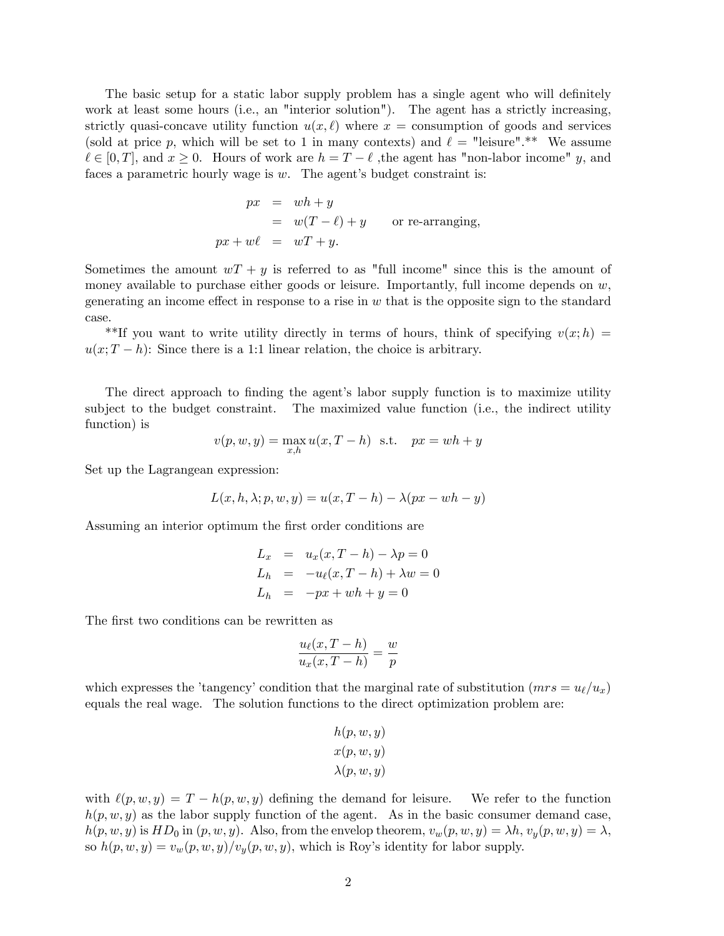The basic setup for a static labor supply problem has a single agent who will definitely work at least some hours (i.e., an "interior solution"). The agent has a strictly increasing, strictly quasi-concave utility function  $u(x, \ell)$  where  $x =$  consumption of goods and services (sold at price p, which will be set to 1 in many contexts) and  $\ell =$  "leisure".\*\* We assume  $\ell \in [0, T]$ , and  $x \geq 0$ . Hours of work are  $h = T - \ell$ , the agent has "non-labor income" y, and faces a parametric hourly wage is  $w$ . The agent's budget constraint is:

$$
px = wh + y
$$
  
=  $w(T - \ell) + y$  or re-arranging,  

$$
px + w\ell = wT + y.
$$

Sometimes the amount  $wT + y$  is referred to as "full income" since this is the amount of money available to purchase either goods or leisure. Importantly, full income depends on  $w$ , generating an income effect in response to a rise in  $w$  that is the opposite sign to the standard case.

\*\*If you want to write utility directly in terms of hours, think of specifying  $v(x; h)$  $u(x; T - h)$ : Since there is a 1:1 linear relation, the choice is arbitrary.

The direct approach to finding the agent's labor supply function is to maximize utility subject to the budget constraint. The maximized value function (i.e., the indirect utility function) is

$$
v(p, w, y) = \max_{x, h} u(x, T - h) \text{ s.t. } px = wh + y
$$

Set up the Lagrangean expression:

$$
L(x, h, \lambda; p, w, y) = u(x, T - h) - \lambda(px - wh - y)
$$

Assuming an interior optimum the first order conditions are

$$
L_x = u_x(x, T - h) - \lambda p = 0
$$
  
\n
$$
L_h = -u_\ell(x, T - h) + \lambda w = 0
$$
  
\n
$$
L_h = -px + wh + y = 0
$$

The first two conditions can be rewritten as

$$
\frac{u_{\ell}(x,T-h)}{u_x(x,T-h)} = \frac{w}{p}
$$

which expresses the 'tangency' condition that the marginal rate of substitution ( $mrs = u_{\ell}/u_x$ ) equals the real wage. The solution functions to the direct optimization problem are:

$$
h(p, w, y)
$$

$$
x(p, w, y)
$$

$$
\lambda(p, w, y)
$$

with  $\ell(p, w, y) = T - h(p, w, y)$  defining the demand for leisure. We refer to the function  $h(p, w, y)$  as the labor supply function of the agent. As in the basic consumer demand case,  $h(p, w, y)$  is  $HD_0$  in  $(p, w, y)$ . Also, from the envelop theorem,  $v_w(p, w, y) = \lambda h$ ,  $v_y(p, w, y) = \lambda$ , so  $h(p, w, y) = v_w(p, w, y)/v_y(p, w, y)$ , which is Roy's identity for labor supply.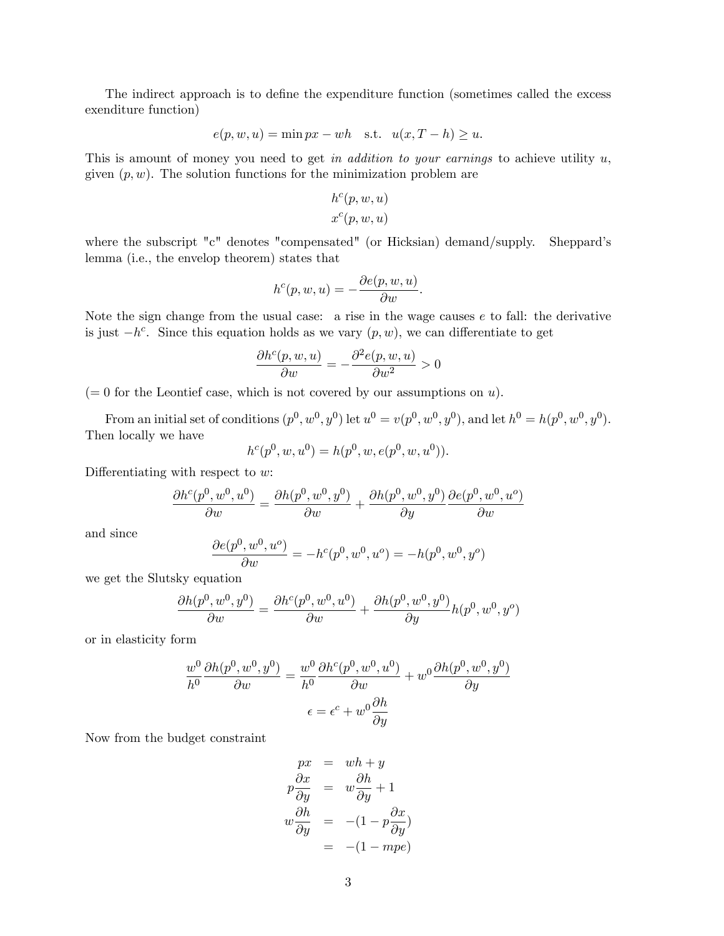The indirect approach is to define the expenditure function (sometimes called the excess exenditure function)

$$
e(p, w, u) = \min px - wh \quad \text{s.t.} \quad u(x, T - h) \ge u.
$$

This is amount of money you need to get in addition to your earnings to achieve utility u, given  $(p, w)$ . The solution functions for the minimization problem are

$$
h^c(p, w, u)
$$

$$
x^c(p, w, u)
$$

where the subscript "c" denotes "compensated" (or Hicksian) demand/supply. Sheppard's lemma (i.e., the envelop theorem) states that

$$
h^{c}(p, w, u) = -\frac{\partial e(p, w, u)}{\partial w}.
$$

Note the sign change from the usual case: a rise in the wage causes  $e$  to fall: the derivative is just  $-h^c$ . Since this equation holds as we vary  $(p, w)$ , we can differentiate to get

$$
\frac{\partial h^c(p, w, u)}{\partial w} = -\frac{\partial^2 e(p, w, u)}{\partial w^2} > 0
$$

 $(= 0$  for the Leontief case, which is not covered by our assumptions on u).

From an initial set of conditions  $(p^0, w^0, y^0)$  let  $u^0 = v(p^0, w^0, y^0)$ , and let  $h^0 = h(p^0, w^0, y^0)$ . Then locally we have

$$
h^{c}(p^{0}, w, u^{0}) = h(p^{0}, w, e(p^{0}, w, u^{0})).
$$

Differentiating with respect to  $w$ :

$$
\frac{\partial h^c(p^0,w^0,u^0)}{\partial w}=\frac{\partial h(p^0,w^0,y^0)}{\partial w}+\frac{\partial h(p^0,w^0,y^0)}{\partial y}\frac{\partial e(p^0,w^0,u^o)}{\partial w}
$$

and since

$$
\frac{\partial e(p^0, w^0, u^o)}{\partial w} = -h^c(p^0, w^0, u^o) = -h(p^0, w^0, y^o)
$$

we get the Slutsky equation

$$
\frac{\partial h(p^0, w^0, y^0)}{\partial w} = \frac{\partial h^c(p^0, w^0, u^0)}{\partial w} + \frac{\partial h(p^0, w^0, y^0)}{\partial y} h(p^0, w^0, y^o)
$$

or in elasticity form

$$
\frac{w^0}{h^0} \frac{\partial h(p^0, w^0, y^0)}{\partial w} = \frac{w^0}{h^0} \frac{\partial h^c(p^0, w^0, u^0)}{\partial w} + w^0 \frac{\partial h(p^0, w^0, y^0)}{\partial y}
$$

$$
\epsilon = \epsilon^c + w^0 \frac{\partial h}{\partial y}
$$

Now from the budget constraint

$$
px = wh + y
$$
  
\n
$$
p\frac{\partial x}{\partial y} = w\frac{\partial h}{\partial y} + 1
$$
  
\n
$$
w\frac{\partial h}{\partial y} = -(1 - p\frac{\partial x}{\partial y})
$$
  
\n
$$
= -(1 - mpe)
$$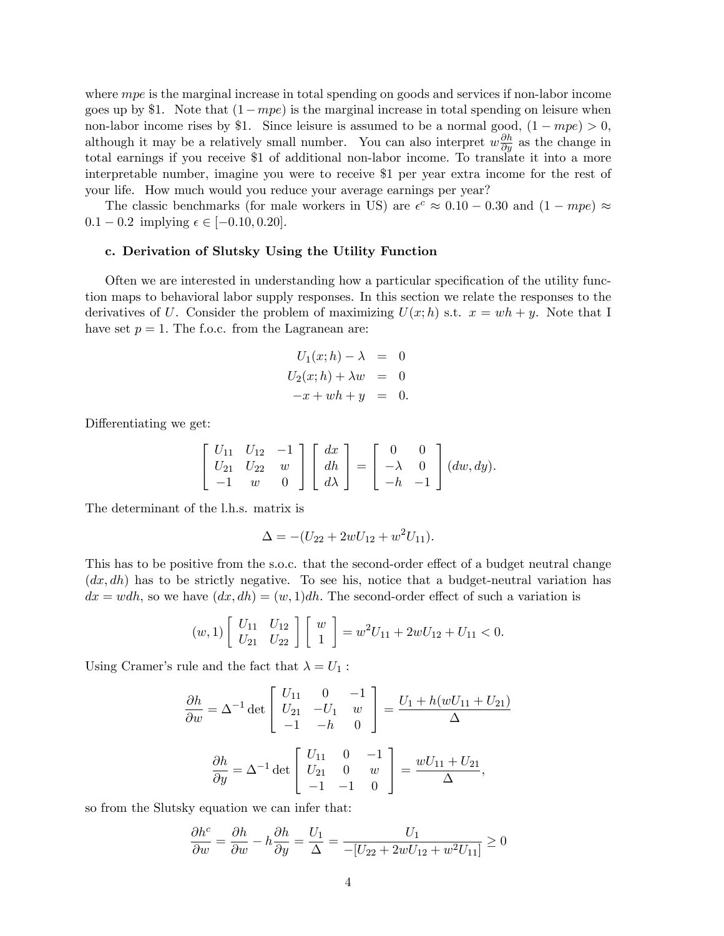where mpe is the marginal increase in total spending on goods and services if non-labor income goes up by \$1. Note that  $(1 - mpe)$  is the marginal increase in total spending on leisure when non-labor income rises by \$1. Since leisure is assumed to be a normal good,  $(1 - mpe) > 0$ , although it may be a relatively small number. You can also interpret  $w \frac{\partial h}{\partial y}$  as the change in total earnings if you receive \$1 of additional non-labor income. To translate it into a more interpretable number, imagine you were to receive \$1 per year extra income for the rest of your life. How much would you reduce your average earnings per year?

The classic benchmarks (for male workers in US) are  $\epsilon^c \approx 0.10 - 0.30$  and  $(1 - mpe) \approx$  $0.1 - 0.2$  implying  $\epsilon \in [-0.10, 0.20]$ .

#### c. Derivation of Slutsky Using the Utility Function

Often we are interested in understanding how a particular specification of the utility function maps to behavioral labor supply responses. In this section we relate the responses to the derivatives of U. Consider the problem of maximizing  $U(x; h)$  s.t.  $x = wh + y$ . Note that I have set  $p = 1$ . The f.o.c. from the Lagranean are:

$$
U_1(x; h) - \lambda = 0
$$
  

$$
U_2(x; h) + \lambda w = 0
$$
  

$$
-x + wh + y = 0.
$$

Differentiating we get:

$$
\begin{bmatrix} U_{11} & U_{12} & -1 \ U_{21} & U_{22} & w \ -1 & w & 0 \end{bmatrix} \begin{bmatrix} dx \\ dh \\ d\lambda \end{bmatrix} = \begin{bmatrix} 0 & 0 \\ -\lambda & 0 \\ -h & -1 \end{bmatrix} (dw, dy).
$$

The determinant of the l.h.s. matrix is

$$
\Delta = -(U_{22} + 2wU_{12} + w^2U_{11}).
$$

This has to be positive from the s.o.c. that the second-order effect of a budget neutral change  $(dx, dh)$  has to be strictly negative. To see his, notice that a budget-neutral variation has  $dx = wdh$ , so we have  $(dx, dh) = (w, 1)dh$ . The second-order effect of such a variation is

$$
(w,1)\begin{bmatrix} U_{11} & U_{12} \\ U_{21} & U_{22} \end{bmatrix} \begin{bmatrix} w \\ 1 \end{bmatrix} = w^2 U_{11} + 2wU_{12} + U_{11} < 0.
$$

Using Cramer's rule and the fact that  $\lambda = U_1$ :

$$
\frac{\partial h}{\partial w} = \Delta^{-1} \det \begin{bmatrix} U_{11} & 0 & -1 \\ U_{21} & -U_1 & w \\ -1 & -h & 0 \end{bmatrix} = \frac{U_1 + h(wU_{11} + U_{21})}{\Delta}
$$

$$
\frac{\partial h}{\partial y} = \Delta^{-1} \det \begin{bmatrix} U_{11} & 0 & -1 \\ U_{21} & 0 & w \\ -1 & -1 & 0 \end{bmatrix} = \frac{wU_{11} + U_{21}}{\Delta},
$$

so from the Slutsky equation we can infer that:

$$
\frac{\partial h^c}{\partial w} = \frac{\partial h}{\partial w} - h \frac{\partial h}{\partial y} = \frac{U_1}{\Delta} = \frac{U_1}{-[U_{22} + 2wU_{12} + w^2U_{11}]} \ge 0
$$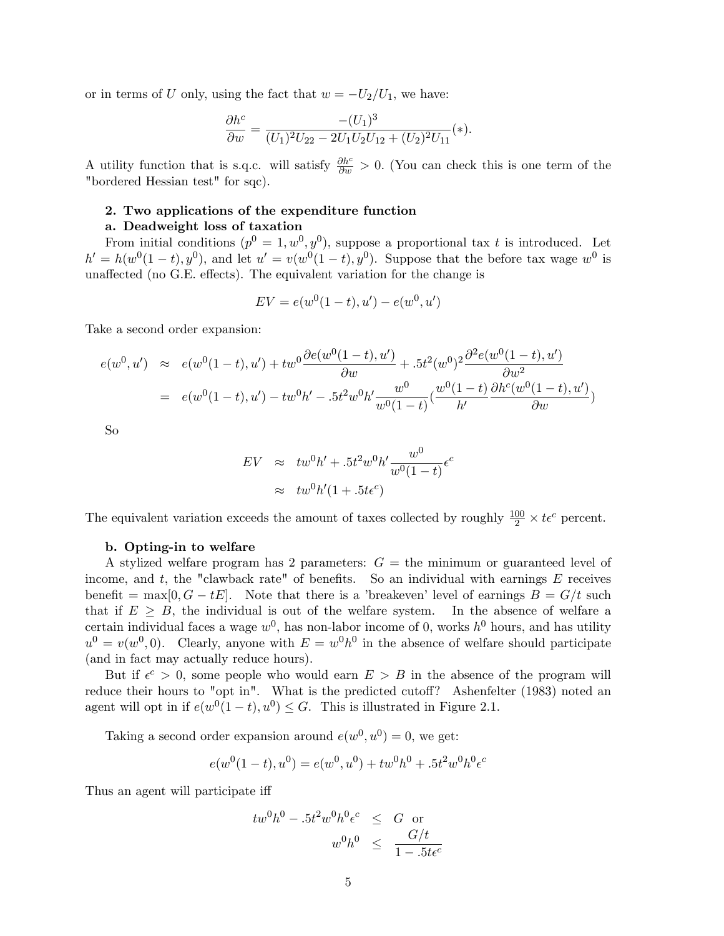or in terms of U only, using the fact that  $w = -U_2/U_1$ , we have:

$$
\frac{\partial h^c}{\partial w} = \frac{-(U_1)^3}{(U_1)^2 U_{22} - 2U_1 U_2 U_{12} + (U_2)^2 U_{11}}(*)
$$

A utility function that is s.q.c. will satisfy  $\frac{\partial h^c}{\partial w} > 0$ . (You can check this is one term of the "bordered Hessian test" for sqc).

### 2. Two applications of the expenditure function

#### a. Deadweight loss of taxation

From initial conditions  $(p^0 = 1, w^0, y^0)$ , suppose a proportional tax t is introduced. Let  $h' = h(w^0(1-t), y^0)$ , and let  $u' = v(w^0(1-t), y^0)$ . Suppose that the before tax wage  $w^0$  is unaffected (no G.E. effects). The equivalent variation for the change is

$$
EV = e(w^{0}(1-t), u') - e(w^{0}, u')
$$

Take a second order expansion:

$$
e(w^{0}, u') \approx e(w^{0}(1-t), u') + tw^{0} \frac{\partial e(w^{0}(1-t), u')}{\partial w} + .5t^{2}(w^{0})^{2} \frac{\partial^{2} e(w^{0}(1-t), u')}{\partial w^{2}}
$$

$$
= e(w^{0}(1-t), u') - tw^{0}h' - .5t^{2}w^{0}h' \frac{w^{0}}{w^{0}(1-t)} (\frac{w^{0}(1-t)}{h'} \frac{\partial h^{c}(w^{0}(1-t), u')}{\partial w})
$$

So

$$
EV \approx tw^{0}h' + .5t^{2}w^{0}h'\frac{w^{0}}{w^{0}(1-t)}\epsilon^{c}
$$

$$
\approx tw^{0}h'(1+.5t\epsilon^{c})
$$

The equivalent variation exceeds the amount of taxes collected by roughly  $\frac{100}{2} \times t \epsilon^c$  percent.

#### b. Opting-in to welfare

A stylized welfare program has 2 parameters:  $G =$  the minimum or guaranteed level of income, and t, the "clawback rate" of benefits. So an individual with earnings  $E$  receives benefit = max[0, G - tE]. Note that there is a 'breakeven' level of earnings  $B = G/t$  such that if  $E \geq B$ , the individual is out of the welfare system. In the absence of welfare a certain individual faces a wage  $w^0$ , has non-labor income of 0, works  $h^0$  hours, and has utility  $u^0 = v(w^0, 0)$ . Clearly, anyone with  $E = w^0 h^0$  in the absence of welfare should participate (and in fact may actually reduce hours).

But if  $\epsilon^c > 0$ , some people who would earn  $E > B$  in the absence of the program will reduce their hours to "opt in". What is the predicted cutoff? Ashenfelter  $(1983)$  noted an agent will opt in if  $e(w^0(1-t), u^0) \leq G$ . This is illustrated in Figure 2.1.

Taking a second order expansion around  $e(w^0, u^0) = 0$ , we get:

$$
e(w^{0}(1-t), u^{0}) = e(w^{0}, u^{0}) + tw^{0}h^{0} + .5t^{2}w^{0}h^{0}\epsilon^{c}
$$

Thus an agent will participate iff

$$
tw^{0}h^{0} - .5t^{2}w^{0}h^{0}\epsilon^{c} \leq G \text{ or}
$$
  

$$
w^{0}h^{0} \leq \frac{G/t}{1 - .5te^{c}}
$$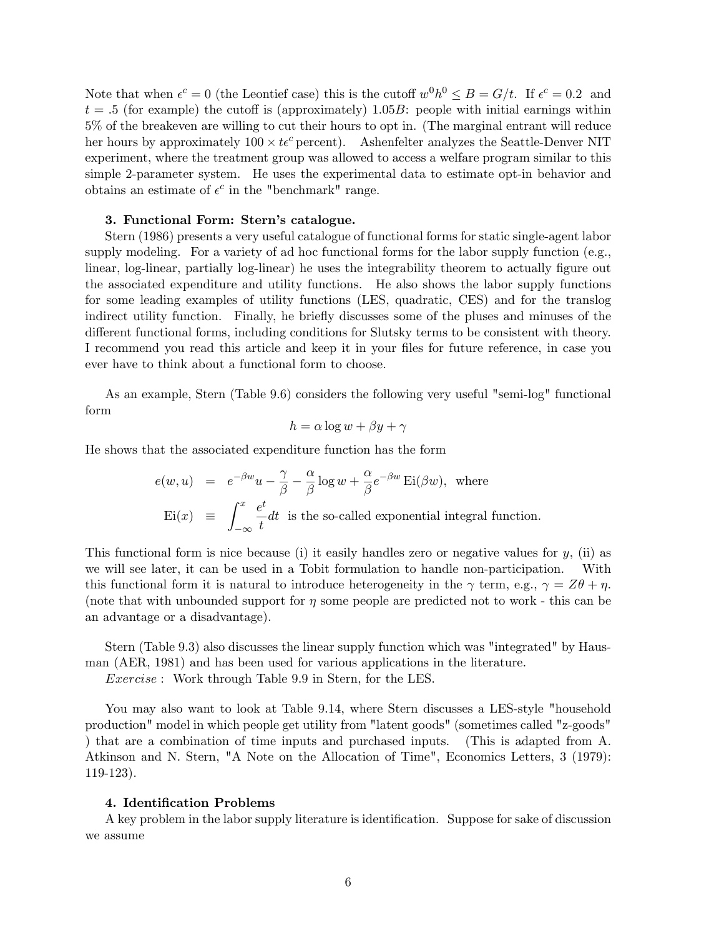Note that when  $\epsilon^c = 0$  (the Leontief case) this is the cutoff  $w^0 h^0 \leq B = G/t$ . If  $\epsilon^c = 0.2$  and  $t = .5$  (for example) the cutoff is (approximately) 1.05B: people with initial earnings within 5% of the breakeven are willing to cut their hours to opt in. (The marginal entrant will reduce her hours by approximately  $100 \times t\epsilon^c$  percent). Ashenfelter analyzes the Seattle-Denver NIT experiment, where the treatment group was allowed to access a welfare program similar to this simple 2-parameter system. He uses the experimental data to estimate opt-in behavior and obtains an estimate of  $\epsilon^c$  in the "benchmark" range.

### 3. Functional Form: Stern's catalogue.

Stern (1986) presents a very useful catalogue of functional forms for static single-agent labor supply modeling. For a variety of ad hoc functional forms for the labor supply function (e.g., linear, log-linear, partially log-linear) he uses the integrability theorem to actually figure out the associated expenditure and utility functions. He also shows the labor supply functions for some leading examples of utility functions (LES, quadratic, CES) and for the translog indirect utility function. Finally, he briefly discusses some of the pluses and minuses of the different functional forms, including conditions for Slutsky terms to be consistent with theory. I recommend you read this article and keep it in your files for future reference, in case you ever have to think about a functional form to choose.

As an example, Stern (Table 9.6) considers the following very useful "semi-log" functional form

$$
h = \alpha \log w + \beta y + \gamma
$$

He shows that the associated expenditure function has the form

$$
e(w, u) = e^{-\beta w}u - \frac{\gamma}{\beta} - \frac{\alpha}{\beta}\log w + \frac{\alpha}{\beta}e^{-\beta w}\operatorname{Ei}(\beta w), \text{ where}
$$
  
 
$$
\operatorname{Ei}(x) \equiv \int_{-\infty}^{x} \frac{e^{t}}{t} dt \text{ is the so-called exponential integral function.}
$$

This functional form is nice because (i) it easily handles zero or negative values for  $y$ , (ii) as we will see later, it can be used in a Tobit formulation to handle non-participation. With this functional form it is natural to introduce heterogeneity in the  $\gamma$  term, e.g.,  $\gamma = Z\theta + \eta$ . (note that with unbounded support for  $\eta$  some people are predicted not to work - this can be an advantage or a disadvantage).

Stern (Table 9.3) also discusses the linear supply function which was "integrated" by Hausman (AER, 1981) and has been used for various applications in the literature.

Exercise : Work through Table 9.9 in Stern, for the LES.

You may also want to look at Table 9.14, where Stern discusses a LES-style "household production" model in which people get utility from "latent goods" (sometimes called "z-goods" ) that are a combination of time inputs and purchased inputs. (This is adapted from A. Atkinson and N. Stern, "A Note on the Allocation of Time", Economics Letters, 3 (1979): 119-123).

#### 4. Identification Problems

A key problem in the labor supply literature is identification. Suppose for sake of discussion we assume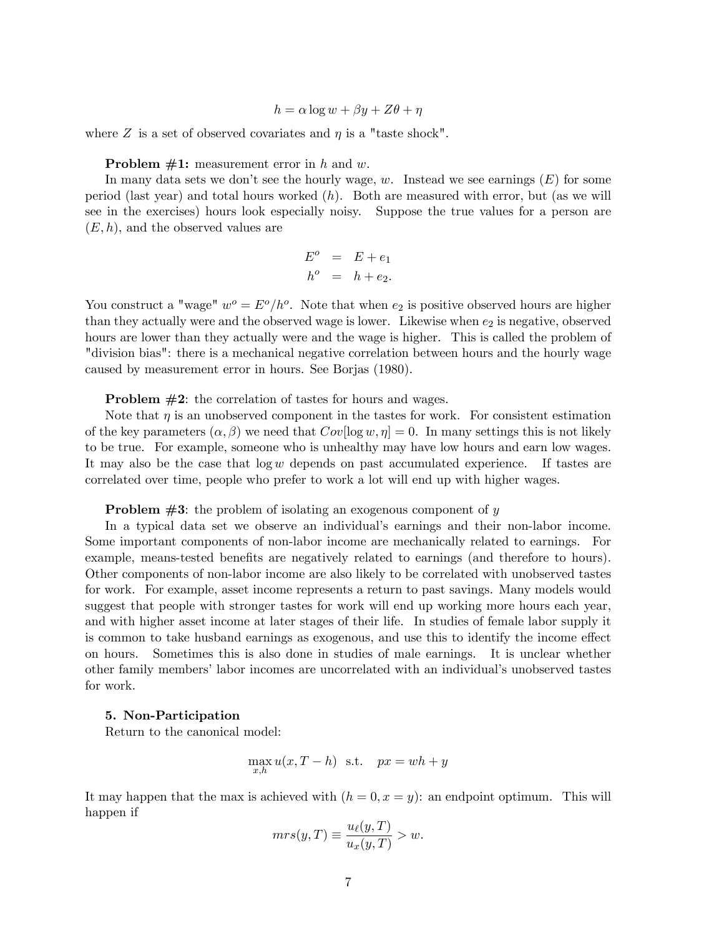$h = \alpha \log w + \beta y + Z\theta + \eta$ 

where Z is a set of observed covariates and  $\eta$  is a "taste shock".

**Problem**  $\#1$ **:** measurement error in h and w.

In many data sets we don't see the hourly wage, w. Instead we see earnings  $(E)$  for some period (last year) and total hours worked  $(h)$ . Both are measured with error, but (as we will see in the exercises) hours look especially noisy. Suppose the true values for a person are  $(E, h)$ , and the observed values are

$$
E^o = E + e_1
$$
  

$$
h^o = h + e_2.
$$

You construct a "wage"  $w^o = E^o/h^o$ . Note that when  $e_2$  is positive observed hours are higher than they actually were and the observed wage is lower. Likewise when  $e_2$  is negative, observed hours are lower than they actually were and the wage is higher. This is called the problem of "division bias": there is a mechanical negative correlation between hours and the hourly wage caused by measurement error in hours. See Borjas (1980).

Problem #2: the correlation of tastes for hours and wages.

Note that  $\eta$  is an unobserved component in the tastes for work. For consistent estimation of the key parameters  $(\alpha, \beta)$  we need that  $Cov[\log w, \eta] = 0$ . In many settings this is not likely to be true. For example, someone who is unhealthy may have low hours and earn low wages. It may also be the case that  $log w$  depends on past accumulated experience. If tastes are correlated over time, people who prefer to work a lot will end up with higher wages.

**Problem**  $#3$ **:** the problem of isolating an exogenous component of y

In a typical data set we observe an individual's earnings and their non-labor income. Some important components of non-labor income are mechanically related to earnings. For example, means-tested benefits are negatively related to earnings (and therefore to hours). Other components of non-labor income are also likely to be correlated with unobserved tastes for work. For example, asset income represents a return to past savings. Many models would suggest that people with stronger tastes for work will end up working more hours each year, and with higher asset income at later stages of their life. In studies of female labor supply it is common to take husband earnings as exogenous, and use this to identify the income effect on hours. Sometimes this is also done in studies of male earnings. It is unclear whether other family members' labor incomes are uncorrelated with an individual's unobserved tastes for work.

#### 5. Non-Participation

Return to the canonical model:

$$
\max_{x,h} u(x, T - h) \text{ s.t. } px = wh + y
$$

It may happen that the max is achieved with  $(h = 0, x = y)$ : an endpoint optimum. This will happen if

$$
mrs(y,T) \equiv \frac{u_{\ell}(y,T)}{u_x(y,T)} > w.
$$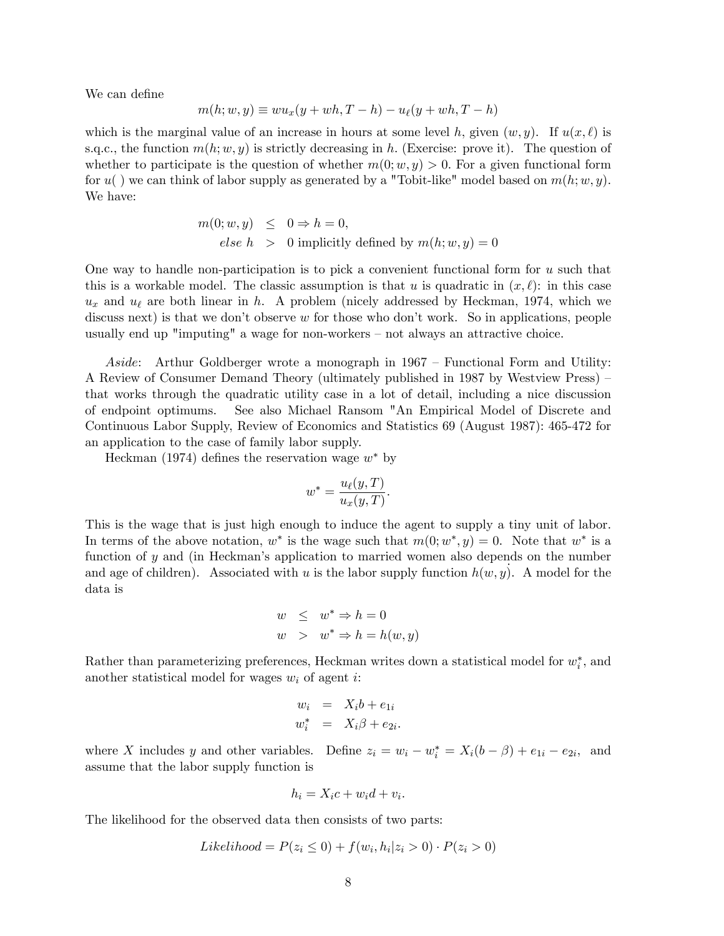We can define

$$
m(h; w, y) \equiv w u_x (y + wh, T - h) - u_\ell(y + wh, T - h)
$$

which is the marginal value of an increase in hours at some level h, given  $(w, y)$ . If  $u(x, \ell)$  is s.q.c., the function  $m(h; w, y)$  is strictly decreasing in h. (Exercise: prove it). The question of whether to participate is the question of whether  $m(0; w, y) > 0$ . For a given functional form for  $u()$  we can think of labor supply as generated by a "Tobit-like" model based on  $m(h; w, y)$ . We have:

$$
m(0; w, y) \leq 0 \Rightarrow h = 0,
$$
  
else  $h > 0$  implicitly defined by  $m(h; w, y) = 0$ 

One way to handle non-participation is to pick a convenient functional form for u such that this is a workable model. The classic assumption is that u is quadratic in  $(x, \ell)$ : in this case  $u_x$  and  $u_\ell$  are both linear in h. A problem (nicely addressed by Heckman, 1974, which we discuss next) is that we don't observe  $w$  for those who don't work. So in applications, people usually end up "imputing" a wage for non-workers  $-$  not always an attractive choice.

Aside: Arthur Goldberger wrote a monograph in  $1967$  – Functional Form and Utility: A Review of Consumer Demand Theory (ultimately published in 1987 by Westview Press) – that works through the quadratic utility case in a lot of detail, including a nice discussion of endpoint optimums. See also Michael Ransom "An Empirical Model of Discrete and Continuous Labor Supply, Review of Economics and Statistics 69 (August 1987): 465-472 for an application to the case of family labor supply.

Heckman (1974) defines the reservation wage  $w^*$  by

$$
w^* = \frac{u_{\ell}(y,T)}{u_x(y,T)}.
$$

This is the wage that is just high enough to induce the agent to supply a tiny unit of labor. In terms of the above notation,  $w^*$  is the wage such that  $m(0; w^*, y) = 0$ . Note that  $w^*$  is a function of y and (in Heckman's application to married women also depends on the number and age of children). Associated with u is the labor supply function  $h(w, y)$ . A model for the data is

$$
w \leq w^* \Rightarrow h = 0
$$
  

$$
w > w^* \Rightarrow h = h(w, y)
$$

Rather than parameterizing preferences, Heckman writes down a statistical model for  $w_i^*$ , and another statistical model for wages  $w_i$  of agent i:

$$
w_i = X_i b + e_{1i}
$$
  

$$
w_i^* = X_i \beta + e_{2i}.
$$

where X includes y and other variables. Define  $z_i = w_i - w_i^* = X_i(b - \beta) + e_{1i} - e_{2i}$ , and assume that the labor supply function is

$$
h_i = X_i c + w_i d + v_i.
$$

The likelihood for the observed data then consists of two parts:

$$
Likelihood = P(z_i \le 0) + f(w_i, h_i | z_i > 0) \cdot P(z_i > 0)
$$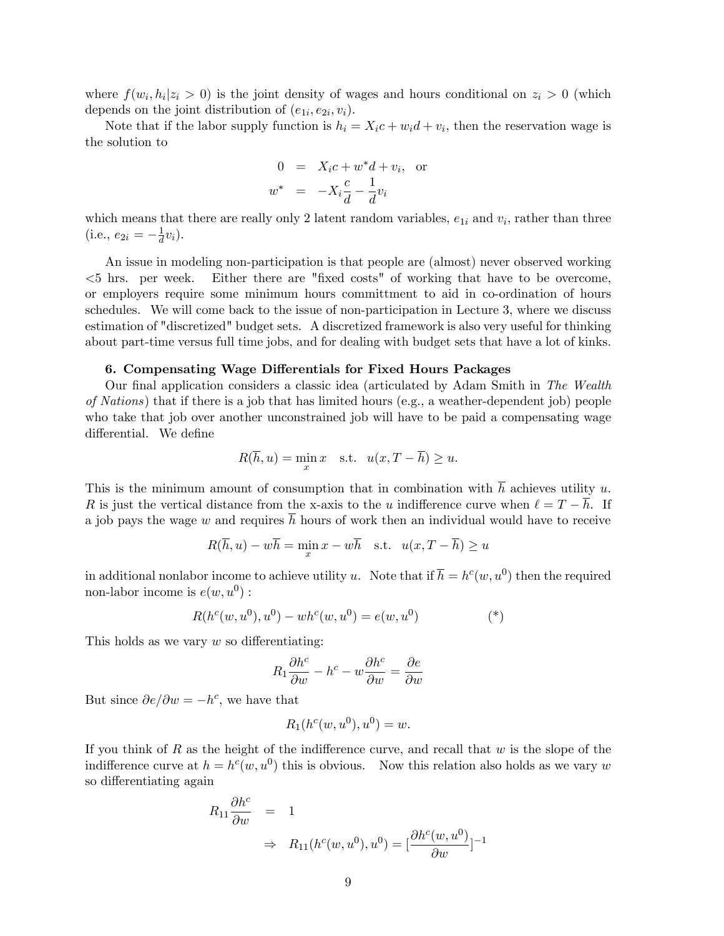where  $f(w_i, h_i | z_i > 0)$  is the joint density of wages and hours conditional on  $z_i > 0$  (which depends on the joint distribution of  $(e_{1i}, e_{2i}, v_i)$ .

Note that if the labor supply function is  $h_i = X_i c + w_i d + v_i$ , then the reservation wage is the solution to

$$
0 = X_i c + w^* d + v_i, \text{ or}
$$
  

$$
w^* = -X_i \frac{c}{d} - \frac{1}{d} v_i
$$

which means that there are really only 2 latent random variables,  $e_{1i}$  and  $v_i$ , rather than three  $(i.e., e_{2i} = -\frac{1}{d})$  $\frac{1}{d}v_i$ .

An issue in modeling non-participation is that people are (almost) never observed working  $\leq$ 5 hrs. per week. Either there are "fixed costs" of working that have to be overcome, or employers require some minimum hours committment to aid in co-ordination of hours schedules. We will come back to the issue of non-participation in Lecture 3, where we discuss estimation of "discretized" budget sets. A discretized framework is also very useful for thinking about part-time versus full time jobs, and for dealing with budget sets that have a lot of kinks.

### 6. Compensating Wage Differentials for Fixed Hours Packages

Our final application considers a classic idea (articulated by Adam Smith in The Wealth of Nations) that if there is a job that has limited hours (e.g., a weather-dependent job) people who take that job over another unconstrained job will have to be paid a compensating wage differential. We define

$$
R(\overline{h}, u) = \min_{x} x \quad \text{s.t.} \quad u(x, T - \overline{h}) \ge u.
$$

This is the minimum amount of consumption that in combination with  $\overline{h}$  achieves utility u. R is just the vertical distance from the x-axis to the u indifference curve when  $\ell = T - \overline{h}$ . If a job pays the wage w and requires  $\overline{h}$  hours of work then an individual would have to receive

$$
R(\overline{h}, u) - w\overline{h} = \min_{x} x - w\overline{h} \quad \text{s.t.} \quad u(x, T - \overline{h}) \ge u
$$

in additional nonlabor income to achieve utility u. Note that if  $\overline{h} = h^c(w, u^0)$  then the required non-labor income is  $e(w, u^0)$ :

$$
R(h^{c}(w, u^{0}), u^{0}) - wh^{c}(w, u^{0}) = e(w, u^{0})
$$
<sup>(\*)</sup>

This holds as we vary  $w$  so differentiating:

$$
R_1 \frac{\partial h^c}{\partial w} - h^c - w \frac{\partial h^c}{\partial w} = \frac{\partial e}{\partial w}
$$

But since  $\partial e/\partial w = -h^c$ , we have that

$$
R_1(h^c(w, u^0), u^0) = w.
$$

If you think of R as the height of the indifference curve, and recall that  $w$  is the slope of the indifference curve at  $h = h^c(w, u^0)$  this is obvious. Now this relation also holds as we vary w so differentiating again

$$
R_{11} \frac{\partial h^c}{\partial w} = 1
$$
  
\n
$$
\Rightarrow R_{11}(h^c(w, u^0), u^0) = \left[\frac{\partial h^c(w, u^0)}{\partial w}\right]^{-1}
$$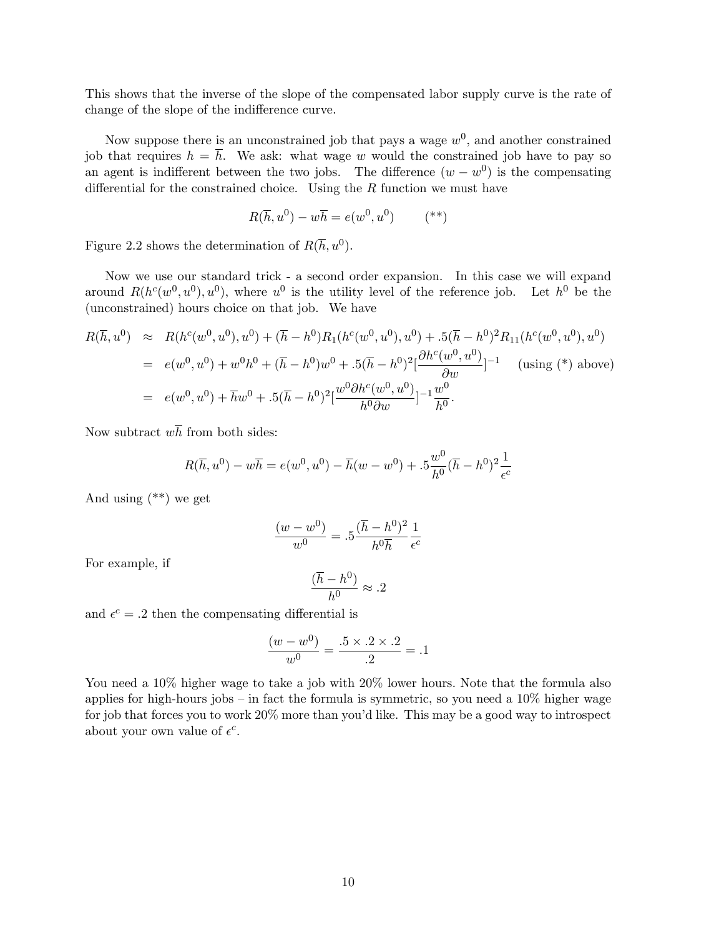This shows that the inverse of the slope of the compensated labor supply curve is the rate of change of the slope of the indifference curve.

Now suppose there is an unconstrained job that pays a wage  $w^0$ , and another constrained job that requires  $h = \overline{h}$ . We ask: what wage w would the constrained job have to pay so an agent is indifferent between the two jobs. The difference  $(w - w^0)$  is the compensating differential for the constrained choice. Using the  $R$  function we must have

$$
R(\overline{h}, u^0) - w\overline{h} = e(w^0, u^0) \qquad (**)
$$

Figure 2.2 shows the determination of  $R(\overline{h}, u^0)$ .

Now we use our standard trick - a second order expansion. In this case we will expand around  $R(h^c(w^0, u^0), u^0)$ , where  $u^0$  is the utility level of the reference job. Let  $h^0$  be the (unconstrained) hours choice on that job. We have

$$
R(\overline{h}, u^{0}) \approx R(h^{c}(w^{0}, u^{0}), u^{0}) + (\overline{h} - h^{0})R_{1}(h^{c}(w^{0}, u^{0}), u^{0}) + .5(\overline{h} - h^{0})^{2}R_{11}(h^{c}(w^{0}, u^{0}), u^{0})
$$
  
\n
$$
= e(w^{0}, u^{0}) + w^{0}h^{0} + (\overline{h} - h^{0})w^{0} + .5(\overline{h} - h^{0})^{2} \left[ \frac{\partial h^{c}(w^{0}, u^{0})}{\partial w} \right]^{-1} \text{ (using (*) above)}
$$
  
\n
$$
= e(w^{0}, u^{0}) + \overline{h}w^{0} + .5(\overline{h} - h^{0})^{2} \left[ \frac{w^{0}\partial h^{c}(w^{0}, u^{0})}{h^{0}\partial w} \right]^{-1} \frac{w^{0}}{h^{0}}.
$$

Now subtract  $w\overline{h}$  from both sides:

$$
R(\overline{h}, u^0) - w\overline{h} = e(w^0, u^0) - \overline{h}(w - w^0) + .5\frac{w^0}{h^0}(\overline{h} - h^0)^2 \frac{1}{\epsilon^c}
$$

And using (\*\*) we get

$$
\frac{(w - w^0)}{w^0} = .5 \frac{(\bar{h} - h^0)^2}{h^0 \bar{h}} \frac{1}{\epsilon^c}
$$

For example, if

$$
\frac{(\overline{h} - h^0)}{h^0} \approx .2
$$

and  $\epsilon^c = .2$  then the compensating differential is

$$
\frac{(w - w^0)}{w^0} = \frac{.5 \times .2 \times .2}{.2} = .1
$$

You need a  $10\%$  higher wage to take a job with  $20\%$  lower hours. Note that the formula also applies for high-hours jobs  $-$  in fact the formula is symmetric, so you need a 10% higher wage for job that forces you to work  $20\%$  more than you'd like. This may be a good way to introspect about your own value of  $\epsilon^c$ .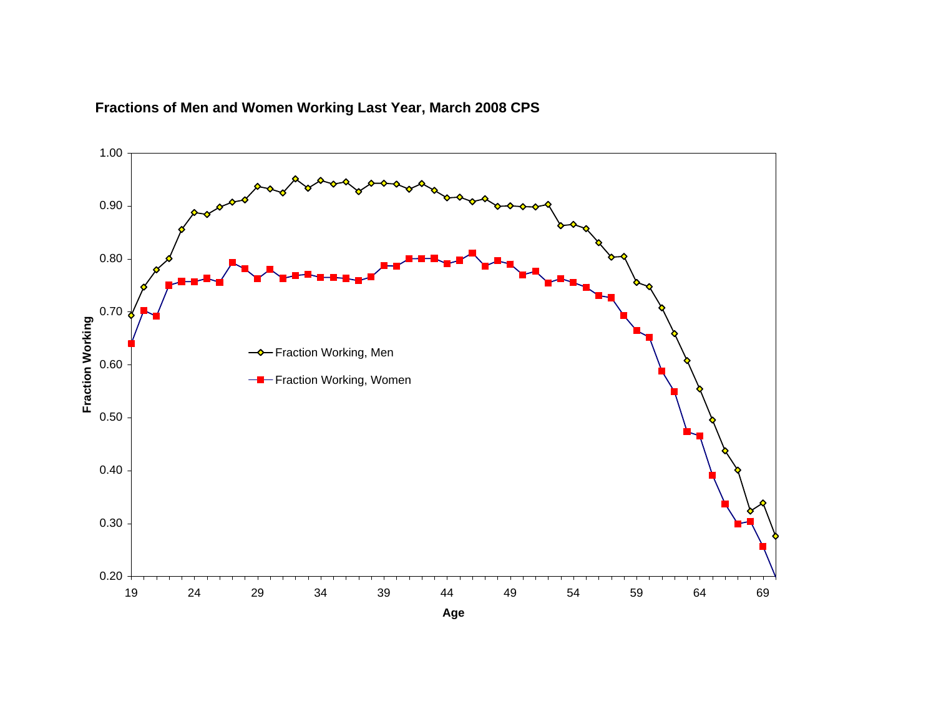

# **Fractions of Men and Women Working Last Year, March 2008 CPS**

**Age**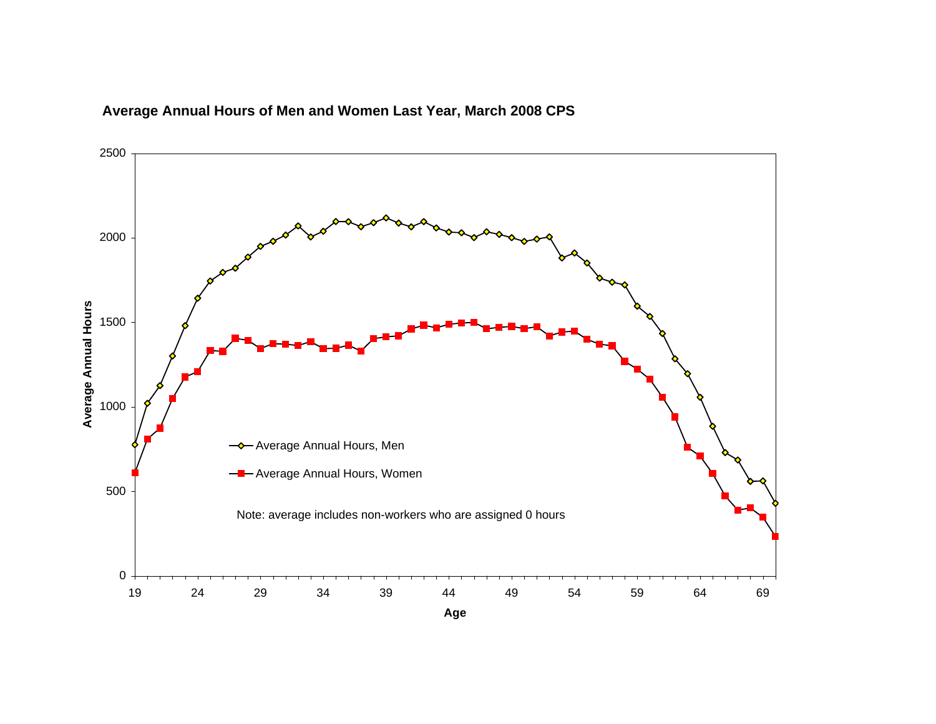

# **Average Annual Hours of Men and Women Last Year, March 2008 CPS**

**Age**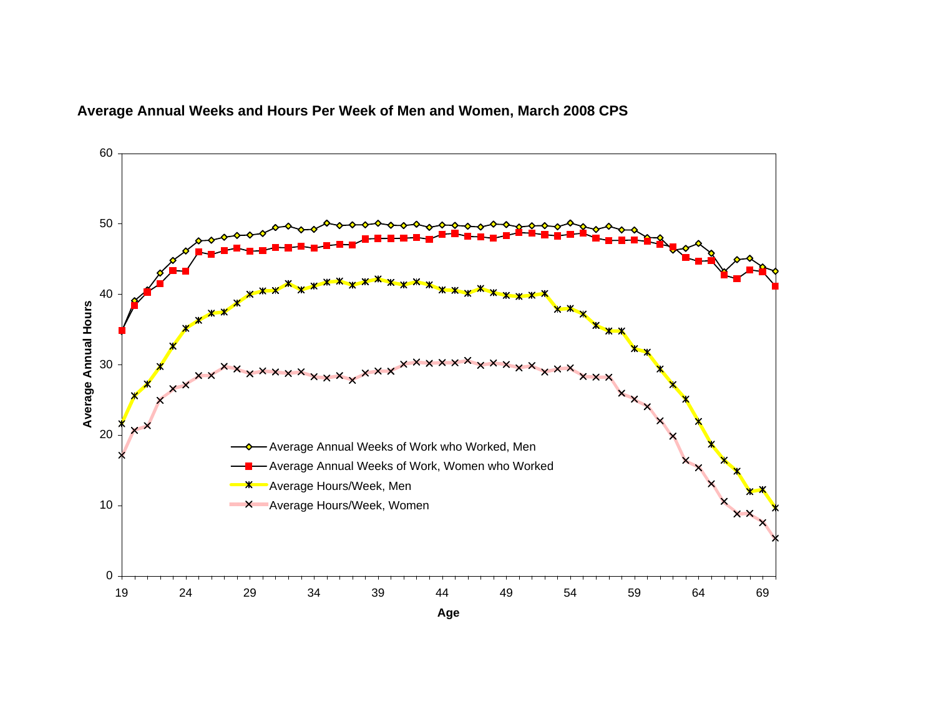

# **Average Annual Weeks and Hours Per Week of Men and Women, March 2008 CPS**

**Age**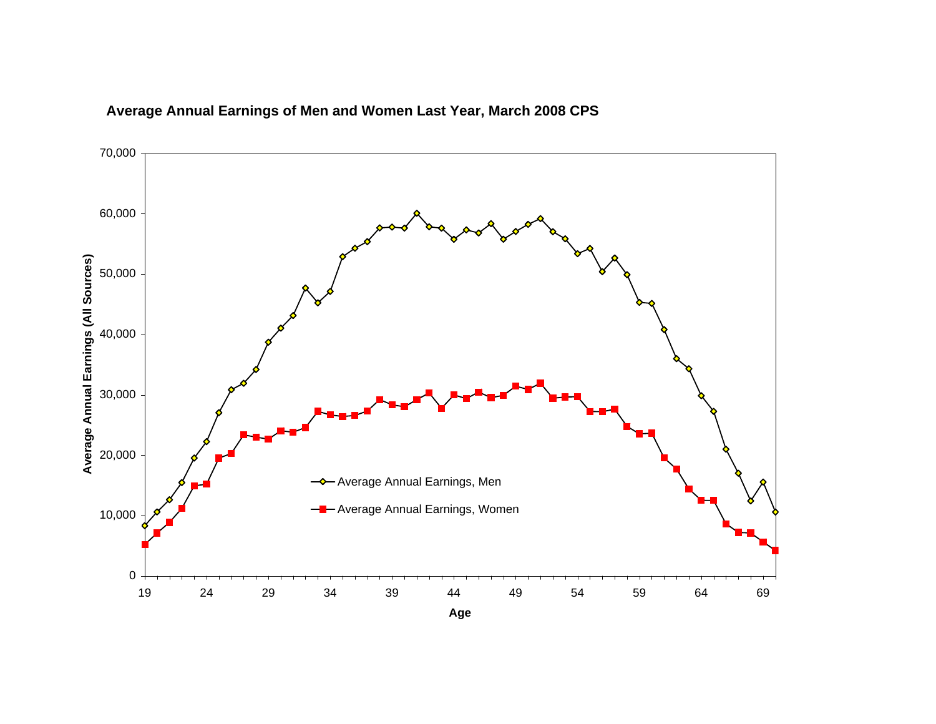

# **Average Annual Earnings of Men and Women Last Year, March 2008 CPS**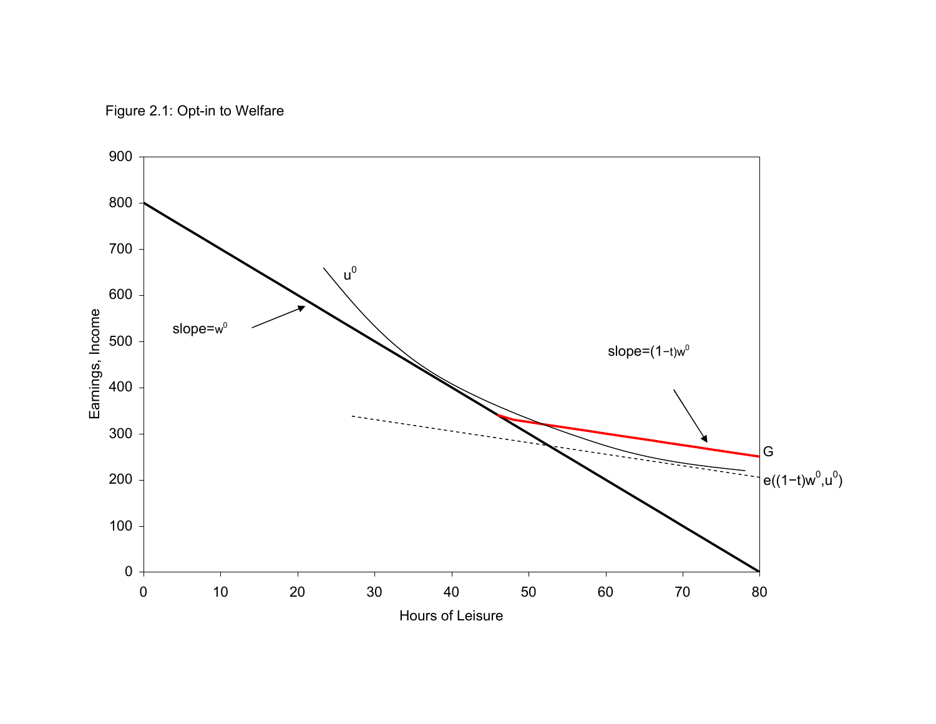Figure 2.1: Opt-in to Welfare